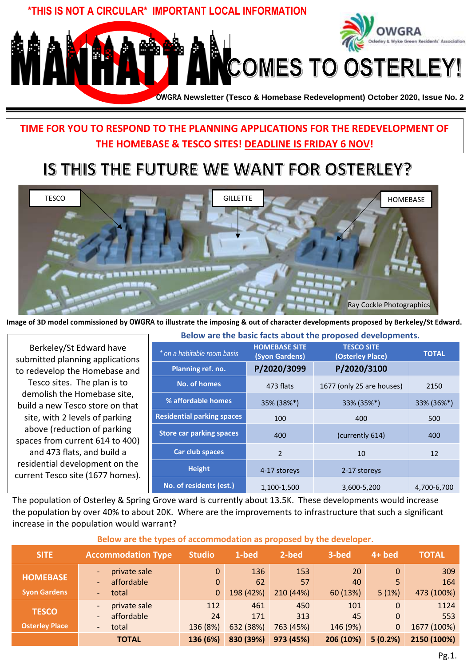

## **TIME FOR YOU TO RESPOND TO THE PLANNING APPLICATIONS FOR THE REDEVELOPMENT OF THE HOMEBASE & TESCO SITES! DEADLINE IS FRIDAY 6 NOV!**

# IS THIS THE FUTURE WE WANT FOR OSTERLEY?



**Image of 3D model commissioned by OWGRA to illustrate the imposing & out of character developments proposed by Berkeley/St Edward.** 

Berkeley/St Edward have submitted planning applications to redevelop the Homebase and Tesco sites. The plan is to demolish the Homebase site, build a new Tesco store on that site, with 2 levels of parking above (reduction of parking spaces from current 614 to 400) and 473 flats, and build a residential development on the current Tesco site (1677 homes).

| below are the pasic racts about the proposed developments. |                                        |                                       |              |  |  |
|------------------------------------------------------------|----------------------------------------|---------------------------------------|--------------|--|--|
| * on a habitable room basis                                | <b>HOMEBASE SITE</b><br>(Syon Gardens) | <b>TESCO SITE</b><br>(Osterley Place) | <b>TOTAL</b> |  |  |
| Planning ref. no.                                          | P/2020/3099                            | P/2020/3100                           |              |  |  |
| <b>No. of homes</b>                                        | 473 flats                              | 1677 (only 25 are houses)             | 2150         |  |  |
| % affordable homes                                         | 35% (38%*)                             | 33% (35%*)                            | 33% (36%*)   |  |  |
| <b>Residential parking spaces</b>                          | 100                                    | 400                                   | 500          |  |  |
| <b>Store car parking spaces</b>                            | 400                                    | (currently 614)                       | 400          |  |  |
| Car club spaces                                            | $\mathfrak{p}$                         | 10                                    | 12           |  |  |
| <b>Height</b>                                              | 4-17 storeys                           | 2-17 storeys                          |              |  |  |
| No. of residents (est.)                                    | 1,100-1,500                            | 3,600-5,200                           | 4,700-6,700  |  |  |

**Below are the basic facts about the proposed developments.**

The population of Osterley & Spring Grove ward is currently about 13.5K. These developments would increase the population by over 40% to about 20K. Where are the improvements to infrastructure that such a significant increase in the population would warrant?

| below are the types of accommodation as proposed by the developer. |                                                                                                                  |                                 |                         |                         |                       |                                      |                            |
|--------------------------------------------------------------------|------------------------------------------------------------------------------------------------------------------|---------------------------------|-------------------------|-------------------------|-----------------------|--------------------------------------|----------------------------|
| <b>SITE</b>                                                        | <b>Accommodation Type</b>                                                                                        | <b>Studio</b>                   | 1-bed                   | 2-bed                   | 3-bed                 | $4+$ bed                             | <b>TOTAL</b>               |
| <b>HOMEBASE</b><br><b>Syon Gardens</b>                             | private sale<br>$\qquad \qquad \blacksquare$<br>affordable<br>$\overline{\phantom{0}}$<br>total<br>$\sim$        | $\mathbf 0$<br>0<br>$\mathbf 0$ | 136<br>62<br>198 (42%)  | 153<br>57<br>210 (44%)  | 20<br>40<br>60 (13%)  | $\Omega$<br>5<br>5(1%)               | 309<br>164<br>473 (100%)   |
| <b>TESCO</b><br><b>Osterley Place</b>                              | private sale<br>$\overline{\phantom{a}}$<br>affordable<br>$\qquad \qquad -$<br>total<br>$\overline{\phantom{0}}$ | 112<br>24<br>136 (8%)           | 461<br>171<br>632 (38%) | 450<br>313<br>763 (45%) | 101<br>45<br>146 (9%) | $\Omega$<br>$\Omega$<br>$\mathbf{0}$ | 1124<br>553<br>1677 (100%) |
|                                                                    | <b>TOTAL</b>                                                                                                     | 136 (6%)                        | 830 (39%)               | 973 (45%)               | 206 (10%)             | 5(0.2%)                              | 2150 (100%)                |

#### **Below are the types of accommodation as proposed by the developer.**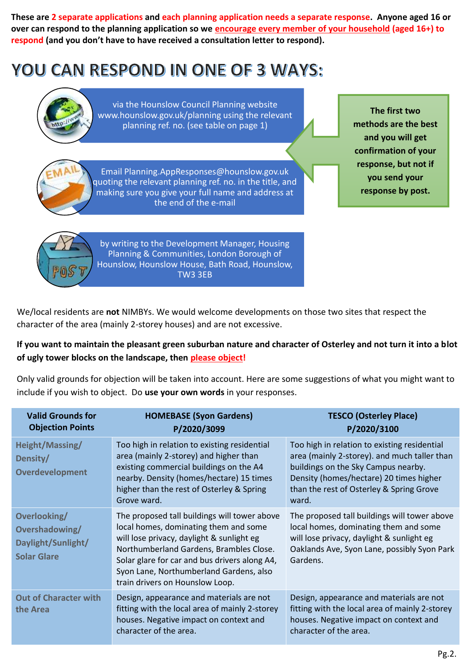**These are 2 separate applications and each planning application needs a separate response. Anyone aged 16 or over can respond to the planning application so we encourage every member of your household (aged 16+) to respond (and you don't have to have received a consultation letter to respond).**

# **YOU CAN RESPOND IN ONE OF 3 WAYS:**



via the Hounslow Council Planning website [www.hounslow.gov.uk/planning using the relevant](http://www.hounslow.gov.uk/planning)  planning ref. no. (see table on page 1)

**The first two methods are the best and you will get confirmation of your response, but not if you send your response by post.**



Email Planning.AppResponses@hounslow.gov.uk quoting the relevant planning ref. no. in the title, and making sure you give your full name and address at the end of the e-mail



by writing to the Development Manager, Housing Planning & Communities, London Borough of Hounslow, Hounslow House, Bath Road, Hounslow, TW3 3EB

We/local residents are **not** NIMBYs. We would welcome developments on those two sites that respect the character of the area (mainly 2-storey houses) and are not excessive.

#### **If you want to maintain the pleasant green suburban nature and character of Osterley and not turn it into a blot of ugly tower blocks on the landscape, then please object!**

Only valid grounds for objection will be taken into account. Here are some suggestions of what you might want to include if you wish to object. Do **use your own words** in your responses.

| <b>Valid Grounds for</b><br><b>Objection Points</b>                        | <b>HOMEBASE (Syon Gardens)</b><br>P/2020/3099                                                                                                                                                                                                                                                                | <b>TESCO (Osterley Place)</b><br>P/2020/3100                                                                                                                                                                                        |
|----------------------------------------------------------------------------|--------------------------------------------------------------------------------------------------------------------------------------------------------------------------------------------------------------------------------------------------------------------------------------------------------------|-------------------------------------------------------------------------------------------------------------------------------------------------------------------------------------------------------------------------------------|
| Height/Massing/<br>Density/<br><b>Overdevelopment</b>                      | Too high in relation to existing residential<br>area (mainly 2-storey) and higher than<br>existing commercial buildings on the A4<br>nearby. Density (homes/hectare) 15 times<br>higher than the rest of Osterley & Spring<br>Grove ward.                                                                    | Too high in relation to existing residential<br>area (mainly 2-storey). and much taller than<br>buildings on the Sky Campus nearby.<br>Density (homes/hectare) 20 times higher<br>than the rest of Osterley & Spring Grove<br>ward. |
| Overlooking/<br>Overshadowing/<br>Daylight/Sunlight/<br><b>Solar Glare</b> | The proposed tall buildings will tower above<br>local homes, dominating them and some<br>will lose privacy, daylight & sunlight eg<br>Northumberland Gardens, Brambles Close.<br>Solar glare for car and bus drivers along A4,<br>Syon Lane, Northumberland Gardens, also<br>train drivers on Hounslow Loop. | The proposed tall buildings will tower above<br>local homes, dominating them and some<br>will lose privacy, daylight & sunlight eg<br>Oaklands Ave, Syon Lane, possibly Syon Park<br>Gardens.                                       |
| <b>Out of Character with</b><br>the Area                                   | Design, appearance and materials are not<br>fitting with the local area of mainly 2-storey<br>houses. Negative impact on context and<br>character of the area.                                                                                                                                               | Design, appearance and materials are not<br>fitting with the local area of mainly 2-storey<br>houses. Negative impact on context and<br>character of the area.                                                                      |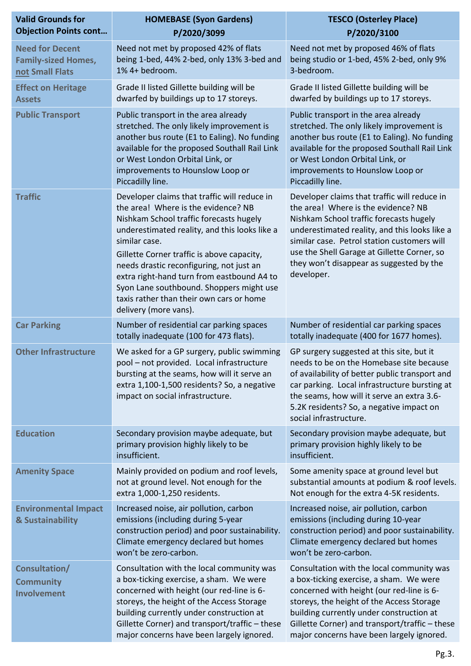| <b>Valid Grounds for</b><br><b>Objection Points cont</b>                | <b>HOMEBASE (Syon Gardens)</b><br>P/2020/3099                                                                                                                                                                                                                                                                                                                                                                                                             | <b>TESCO (Osterley Place)</b><br>P/2020/3100                                                                                                                                                                                                                                                                                            |
|-------------------------------------------------------------------------|-----------------------------------------------------------------------------------------------------------------------------------------------------------------------------------------------------------------------------------------------------------------------------------------------------------------------------------------------------------------------------------------------------------------------------------------------------------|-----------------------------------------------------------------------------------------------------------------------------------------------------------------------------------------------------------------------------------------------------------------------------------------------------------------------------------------|
| <b>Need for Decent</b><br><b>Family-sized Homes,</b><br>not Small Flats | Need not met by proposed 42% of flats<br>being 1-bed, 44% 2-bed, only 13% 3-bed and<br>1% 4+ bedroom.                                                                                                                                                                                                                                                                                                                                                     | Need not met by proposed 46% of flats<br>being studio or 1-bed, 45% 2-bed, only 9%<br>3-bedroom.                                                                                                                                                                                                                                        |
| <b>Effect on Heritage</b><br><b>Assets</b>                              | Grade II listed Gillette building will be<br>dwarfed by buildings up to 17 storeys.                                                                                                                                                                                                                                                                                                                                                                       | Grade II listed Gillette building will be<br>dwarfed by buildings up to 17 storeys.                                                                                                                                                                                                                                                     |
| <b>Public Transport</b>                                                 | Public transport in the area already<br>stretched. The only likely improvement is<br>another bus route (E1 to Ealing). No funding<br>available for the proposed Southall Rail Link<br>or West London Orbital Link, or<br>improvements to Hounslow Loop or<br>Piccadilly line.                                                                                                                                                                             | Public transport in the area already<br>stretched. The only likely improvement is<br>another bus route (E1 to Ealing). No funding<br>available for the proposed Southall Rail Link<br>or West London Orbital Link, or<br>improvements to Hounslow Loop or<br>Piccadilly line.                                                           |
| <b>Traffic</b>                                                          | Developer claims that traffic will reduce in<br>the area! Where is the evidence? NB<br>Nishkam School traffic forecasts hugely<br>underestimated reality, and this looks like a<br>similar case.<br>Gillette Corner traffic is above capacity,<br>needs drastic reconfiguring, not just an<br>extra right-hand turn from eastbound A4 to<br>Syon Lane southbound. Shoppers might use<br>taxis rather than their own cars or home<br>delivery (more vans). | Developer claims that traffic will reduce in<br>the area! Where is the evidence? NB<br>Nishkam School traffic forecasts hugely<br>underestimated reality, and this looks like a<br>similar case. Petrol station customers will<br>use the Shell Garage at Gillette Corner, so<br>they won't disappear as suggested by the<br>developer. |
| <b>Car Parking</b>                                                      | Number of residential car parking spaces<br>totally inadequate (100 for 473 flats).                                                                                                                                                                                                                                                                                                                                                                       | Number of residential car parking spaces<br>totally inadequate (400 for 1677 homes).                                                                                                                                                                                                                                                    |
| <b>Other Infrastructure</b>                                             | We asked for a GP surgery, public swimming<br>pool - not provided. Local infrastructure<br>bursting at the seams, how will it serve an<br>extra 1,100-1,500 residents? So, a negative<br>impact on social infrastructure.                                                                                                                                                                                                                                 | GP surgery suggested at this site, but it<br>needs to be on the Homebase site because<br>of availability of better public transport and<br>car parking. Local infrastructure bursting at<br>the seams, how will it serve an extra 3.6-<br>5.2K residents? So, a negative impact on<br>social infrastructure.                            |
| <b>Education</b>                                                        | Secondary provision maybe adequate, but<br>primary provision highly likely to be<br>insufficient.                                                                                                                                                                                                                                                                                                                                                         | Secondary provision maybe adequate, but<br>primary provision highly likely to be<br>insufficient.                                                                                                                                                                                                                                       |
| <b>Amenity Space</b>                                                    | Mainly provided on podium and roof levels,<br>not at ground level. Not enough for the<br>extra 1,000-1,250 residents.                                                                                                                                                                                                                                                                                                                                     | Some amenity space at ground level but<br>substantial amounts at podium & roof levels.<br>Not enough for the extra 4-5K residents.                                                                                                                                                                                                      |
| <b>Environmental Impact</b><br>& Sustainability                         | Increased noise, air pollution, carbon<br>emissions (including during 5-year<br>construction period) and poor sustainability.<br>Climate emergency declared but homes<br>won't be zero-carbon.                                                                                                                                                                                                                                                            | Increased noise, air pollution, carbon<br>emissions (including during 10-year<br>construction period) and poor sustainability.<br>Climate emergency declared but homes<br>won't be zero-carbon.                                                                                                                                         |
| Consultation/<br><b>Community</b><br>Involvement                        | Consultation with the local community was<br>a box-ticking exercise, a sham. We were<br>concerned with height (our red-line is 6-<br>storeys, the height of the Access Storage<br>building currently under construction at<br>Gillette Corner) and transport/traffic - these<br>major concerns have been largely ignored.                                                                                                                                 | Consultation with the local community was<br>a box-ticking exercise, a sham. We were<br>concerned with height (our red-line is 6-<br>storeys, the height of the Access Storage<br>building currently under construction at<br>Gillette Corner) and transport/traffic - these<br>major concerns have been largely ignored.               |